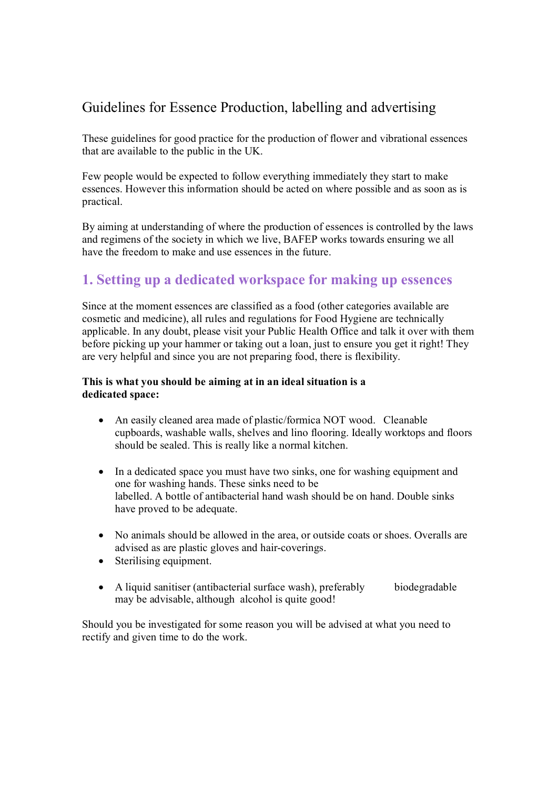# Guidelines for Essence Production, labelling and advertising

These guidelines for good practice for the production of flower and vibrational essences that are available to the public in the UK.

Few people would be expected to follow everything immediately they start to make essences. However this information should be acted on where possible and as soon as is practical.

By aiming at understanding of where the production of essences is controlled by the laws and regimens of the society in which we live, BAFEP works towards ensuring we all have the freedom to make and use essences in the future.

# **1. Setting up a dedicated workspace for making up essences**

Since at the moment essences are classified as a food (other categories available are cosmetic and medicine), all rules and regulations for Food Hygiene are technically applicable. In any doubt, please visit your Public Health Office and talk it over with them before picking up your hammer or taking out a loan, just to ensure you get it right! They are very helpful and since you are not preparing food, there is flexibility.

### **This is what you should be aiming at in an ideal situation is a dedicated space:**

- An easily cleaned area made of plastic/formica NOT wood. Cleanable cupboards, washable walls, shelves and lino flooring. Ideally worktops and floors should be sealed. This is really like a normal kitchen.
- In a dedicated space you must have two sinks, one for washing equipment and one for washing hands. These sinks need to be labelled. A bottle of antibacterial hand wash should be on hand. Double sinks have proved to be adequate.
- No animals should be allowed in the area, or outside coats or shoes. Overalls are advised as are plastic gloves and hair-coverings.
- Sterilising equipment.
- A liquid sanitiser (antibacterial surface wash), preferably biodegradable may be advisable, although alcohol is quite good!

Should you be investigated for some reason you will be advised at what you need to rectify and given time to do the work.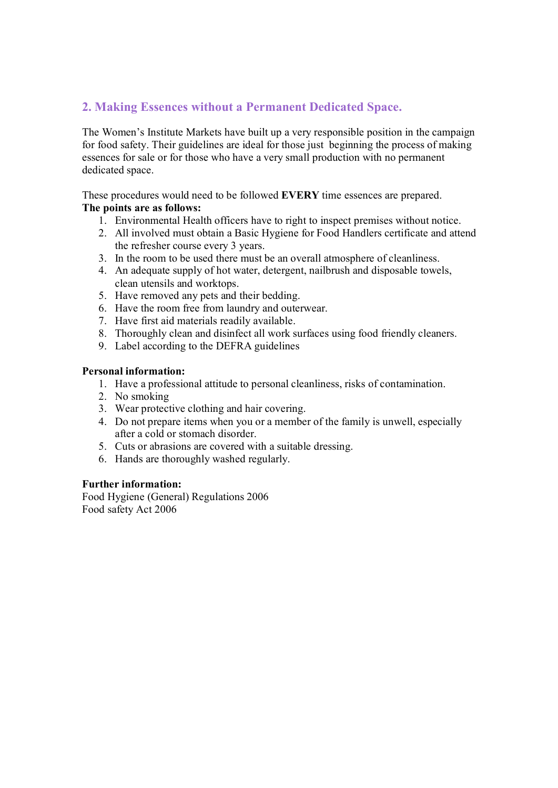## **2. Making Essences without a Permanent Dedicated Space.**

The Women's Institute Markets have built up a very responsible position in the campaign for food safety. Their guidelines are ideal for those just beginning the process of making essences for sale or for those who have a v for food safety. Their guidelines are ideal for those just beginning the process of making dedicated space.

These procedures would need to be followed **EVERY** time essences are prepared.

## **The points are as follows:**

- 1. Environmental Health officers have to right to inspect premises without notice.
- 2. All involved must obtain a Basic Hygiene for Food Handlers certificate and attend<br>2. All involved must obtain a Basic Hygiene for Food Handlers certificate and attend<br>the refresher ceurse every 3 years the refresher course every 3 years. 3. All involved must obtain a Basic Hygiene for Food Handlers certificate and<br>the refresher course every 3 years.<br>3. In the room to be used there must be an overall atmosphere of cleanliness.
- 
- the refresher course every 3 years.<br>3. In the room to be used there must be an overall atmosphere of cleanliness.<br>4. An adequate supply of hot water, detergent, nailbrush and disposable towels, clean utensils and worktops. 4. An adequate supply of hot water, detergent,<br>clean utensils and worktops.<br>5. Have removed any pets and their bedding. From the room free from laundry and outerwear.<br>
5. Have the room free from laundry and outerwear.<br>
7. Have first aid materials readily available.
- 
- 5. Have removed any pets and their bedding.<br>6. Have the room free from laundry and outer<br>7. Have first aid materials readily available.
- 
- 8. Have the room free from laundry and outerwear.<br>
1. Have first aid materials readily available.<br>
8. Thoroughly clean and disinfect all work surfaces using food friendly cleaners. 1. Have first aid materials readily available.<br>
1. Thoroughly clean and disinfect all work surfa<br>
1. Label according to the DEFRA guidelines
- 

#### **Personal information:**

- sonal information:<br>1. Have a professional attitude to personal cleanliness, risks of contamination. **Sonal information:**<br>1. Have a professic<br>2. No smoking<br><sup>2</sup>. Wear protective 3. Have a professional attitude to personal clean<br>2. No smoking<br>3. Wear protective clothing and hair covering.
- 
- 
- 2. No smoking<br>3. Wear protective clothing and hair covering.<br>4. Do not prepare items when you or a member of the family is unwell, especially<br>after a cold or stamped disorder. after a cold or stomach disorder. 4. Do not prepare items when you or a member of the family after a cold or stomach disorder.<br>5. Cuts or abrasions are covered with a suitable dressing.
- 5. Cuts or abrasions are covered with a suitable dressing.<br>6. Hands are thoroughly washed regularly.
- 

#### **Further information:**

Food Hygiene (General) Regulations 2006 Food safety Act 2006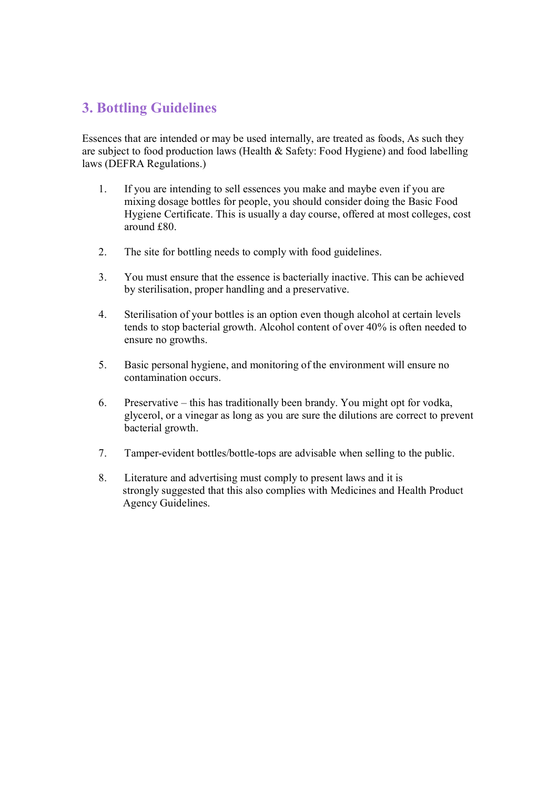# **3. Bottling Guidelines**

Essences that are intended or may be used internally, are treated as foods, As such they are subject to food production laws (Health & Safety: Food Hygiene) and food labelling laws (DEFRA Regulations.)

- 1. If you are intending to sell essences you make and maybe even if you are mixing dosage bottles for people, you should consider doing the Basic Food Hygiene Certificate. This is usually a day course, offered at most colleges, cost around £80.
- 2. The site for bottling needs to comply with food guidelines.
- 3. You must ensure that the essence is bacterially inactive. This can be achieved by sterilisation, proper handling and a preservative.
- 4. Sterilisation of your bottles is an option even though alcohol at certain levels tends to stop bacterial growth. Alcohol content of over 40% is often needed to ensure no growths.
- 5. Basic personal hygiene, and monitoring of the environment will ensure no contamination occurs.
- 6. Preservative this has traditionally been brandy. You might opt for vodka, glycerol, or a vinegar as long as you are sure the dilutions are correct to prevent bacterial growth. bacterial growth.<br>7. Tamper-evident bottles/bottle-tops are advisable when selling to the public.
- 
- 8. Tamper-evident bottles/bottle-tops are advisable when selling to the Literature and advertising must comply to present laws and it is strengly suggested that this also complies with Medicines and Head 5. Tamper-evident bottles/bottle-tops are advisable when selling to the public.<br>
8. Literature and advertising must comply to present laws and it is<br>
strongly suggested that this also complies with Medicines and Health Pro Agency Guidelines.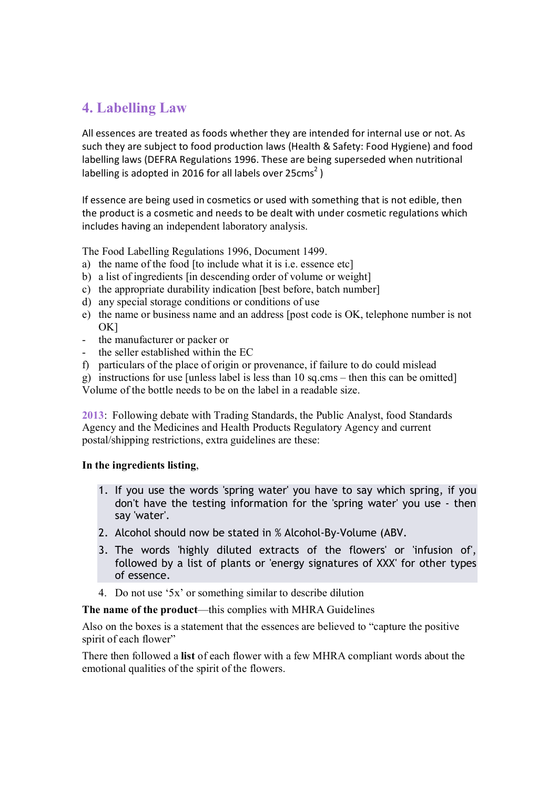# **4. Labelling Law**

All essences are treated as foods whether they are intended for internal use or not. As such they are subject to food production laws (Health & Safety: Food Hygiene) and food All essences are treated as foods whether they are intended for internal use or not. As<br>such they are subject to food production laws (Health & Safety: Food Hygiene) and food<br>labelling laws (DEFRA Regulations 1996. These a such they are subject to food production laws (Health &<br>labelling laws (DEFRA Regulations 1996. These are being<br>labelling is adopted in 2016 for all labels over 25cms<sup>2</sup>) labelling is adopted in 2016 for all labels over  $25 \text{cms}^2$ )

If essence are being used in cosmetics or used with something that is not edible, then the product is a cosmetic and needs to be dealt with under cosmetic regulations which includes having an independent laboratory analysis.

The Food Labelling Regulations 1996, Document 1499.

- a) the name of the food [to include what it is i.e. essence etc]
- The Food Labelling Regulations 1996, Document 1499.<br>
a) the name of the food [to include what it is i.e. essence etc]<br>
b) a list of ingredients [in descending order of volume or weight]<br>
c) the appropriate durability indic b) a list of ingredients [in descending order of volume or<br>c) the appropriate durability indication [best before, batch]<br>d) any special storage conditions or conditions of use
- a) the name of the food [to include what it is i.e. essence etc]<br>b) a list of ingredients [in descending order of volume or weight]<br>c) the appropriate durability indication [best before, batch number]<br>d) any movial starse
- 
- e) the appropriate durability indication [best before, batch number]<br>d) any special storage conditions or conditions of use<br>e) the name or business name and an address [post code is OK, telephone number is not  $QV1$ OK] e) the name or business name and a<br>OK]<br>the manufacturer or packer or<br>the soller ortablished within the
- 
- the manufacturer or packer or<br>- the seller established within the EC
- f) particulars of the place of origin or provenance, if failure to do could mislead

g) instructions for use [unless label is less than 10 sq.cms – then this can be omitted] Volume of the bottle needs to be on the label in a readable size.

**2013**: Following debate with Trading Standards, the Public Analyst, food Standards 2013: Following debate with Trading Standards, the Public Analyst, food Standar<br>Agency and the Medicines and Health Products Regulatory Agency and current 2013: Following debate with Trading Standards, the Pul<br>Agency and the Medicines and Health Products Regulate<br>postal/shipping restrictions, extra guidelines are these:

#### **In the ingredients listing**,

- 1. If you use the words 'spring water' you have to say which spring, if you don't seculoms in the system in the testing information for the 'spring water' you use - then<br>don't have the testing information for the 'spring water' you use - then say 'water'. don't have the testing information for the 'spring water' you<br>2. Alcohol should now be stated in % Alcohol-By-Volume (ABV.
- 
- 2. Alcohol should now be stated in % Alcohol-By-Volume (ABV.<br>3. The words 'highly diluted extracts of the flowers' or 'infusion of', followed by a list of plants or 'energy signatures of XXX' for other types of essence.
- 4. Do not use '5x' or something similar to describe dilution

**The name of the product**—this complies with MHRA Guidelines

Also on the boxes is a statement that the essences are believed to "capture the positive spirit of each flower"

There then followed a **list** of each flower with a few MHRA compliant words about the emotional qualities of the spirit of the flowers.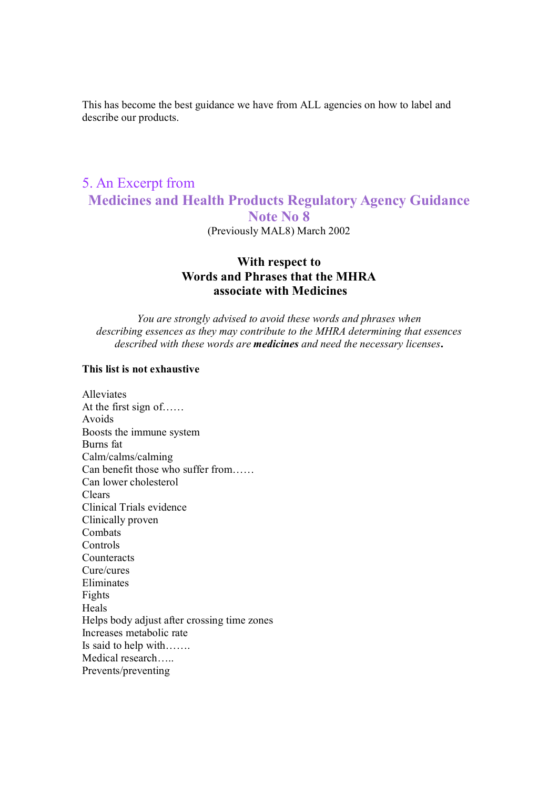This has become the best guidance we have from ALL agencies on how to label and describe our products.

## 5. An Excerpt from **Medicines and Health Products Regulatory Agency Guidance Note No 8** (Previously MAL8) March 2002

# **With respect to Words and Phrases that the MHRA associate with Medicines**<br>**associate with Medicines**

*You are strongly advised to avoid these words and phrases when describing essences as they may contribute to the MHRA determining that essences described with these words are medicines and need the necessary licenses***.** 

#### **This list is not exhaustive**

Alleviates At the first sign of…… Avoids Boosts the immune system Burns fat Calm/calms/calming Can benefit those who suffer from…… Can lower cholesterol Clears Clinical Trials evidence Clinically proven Combats Controls **Counteracts** Cure/cures Eliminates Fights Heals Helps body adjust after crossing time zones Increases metabolic rate Is said to help with……. Medical research….. Prevents/preventing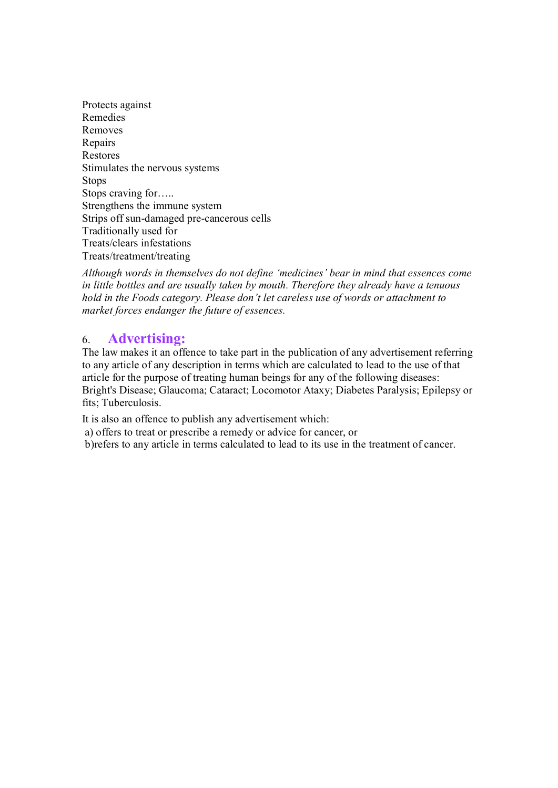Protects against Remedies Removes Repairs Restores Stimulates the nervous systems<br>Stops<br>Stops craving for…..<br>Strangthens the immune system **Stops** Strengthens the immune system Strips off sun-damaged pre-cancerous cells Traditionally used for Treats/clears infestations Treats/treatment/treating

*Although words in themselves do not define 'medicines' bear in mind that essences come in little bottles and are usually taken by mouth. Therefore they already have a tenuous hold in the Foods category. Please don't let careless use of words or attachment to market forces endanger the future of essences.*

6. **Advertising:** The law makes it an offence to take part in the publication of any advertisement referring to any article of any description in terms which are calculated to lead to the use of that article for the purpose of treating human beings for any of the following diseases: Bright's Disease; Glaucoma; Cataract; Locomotor Ataxy; Diabetes Paralysis; Epilepsy or fits; Tuberculosis.

It is also an offence to publish any advertisement which:

a) offers to treat or prescribe a remedy or advice for cancer, or

b)refers to any article in terms calculated to lead to its use in the treatment of cancer.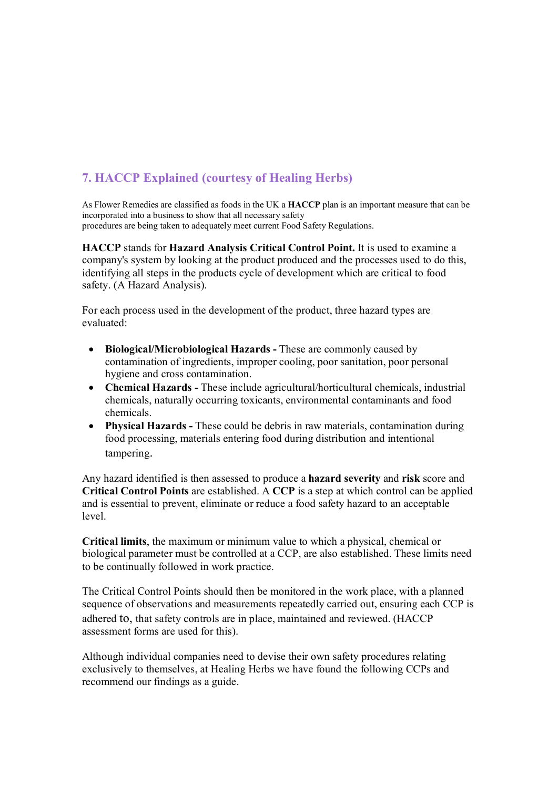## **7. HACCP Explained (courtesy of Healing Herbs)**

As Flower Remedies are classified as foods in the UK a **HACCP** plan is an important measure that can be incorporated into a business to show that all necessary safety procedures are being taken to adequately meet current Food Safety Regulations.

**HACCP** stands for **Hazard Analysis Critical Control Point.** It is used to examine a company's system by looking at the product produced and the processes used to do this, identifying all steps in the products cycle of development which are critical to food safety. (A Hazard Analysis).

For each process used in the development of the product, three hazard types are evaluated:

- **Biological/Microbiological Hazards -** These are commonly caused by contamination of ingredients, improper cooling, poor sanitation, poor personal hygiene and cross contamination.
- **Chemical Hazards -** These include agricultural/horticultural chemicals, industrial chemicals, naturally occurring toxicants, environmental contaminants and food chemicals.
- **Physical Hazards -** These could be debris in raw materials, contamination during food processing, materials entering food during distribution and intentional tampering.

Any hazard identified is then assessed to produce a **hazard severity** and **risk** score and **Critical Control Points** are established. A **CCP** is a step at which control can be applied and is essential to prevent, eliminate or reduce a food safety hazard to an acceptable level.

**Critical limits**, the maximum or minimum value to which a physical, chemical or biological parameter must be controlled at a CCP, are also established. These limits need to be continually followed in work practice.

The Critical Control Points should then be monitored in the work place, with a planned sequence of observations and measurements repeatedly carried out, ensuring each CCP is adhered to, that safety controls are in place, maintained and reviewed. (HACCP assessment forms are used for this).

Although individual companies need to devise their own safety procedures relating exclusively to themselves, at Healing Herbs we have found the following CCPs and recommend our findings as a guide.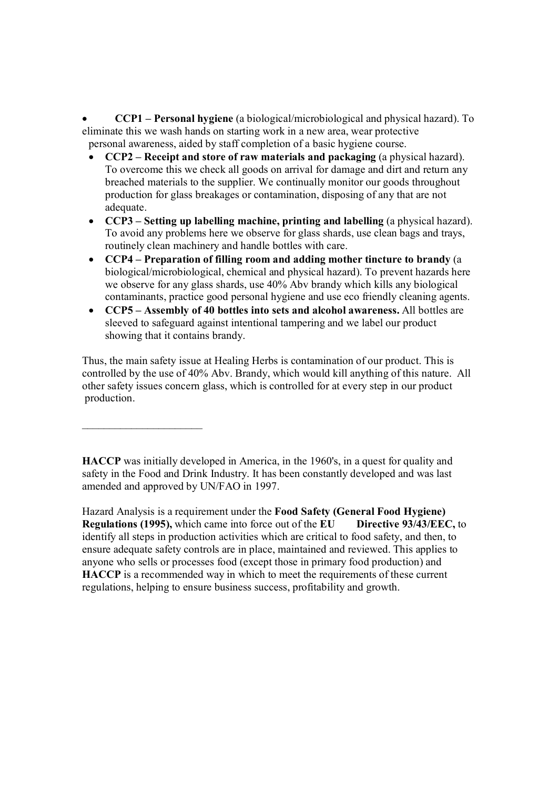**CCP1 – Personal hygiene** (a biological/microbiological and physical hazard). To eliminate this we wash hands on starting work in a new area, wear protective personal awareness, aided by staff completion of a basic hygiene course.

- **CCP2 Receipt and store of raw materials and packaging** (a physical hazard). To overcome this we check all goods on arrival for damage and dirt and return any breached materials to the supplier. We continually monitor our goods throughout production for glass breakages or contamination, disposing of any that are not adequate.
- **CCP3 Setting up labelling machine, printing and labelling** (a physical hazard). adequate.<br>CCP3 – Setting up labelling machine, printing and labelling (a physical hazard).<br>To avoid any problems here we observe for glass shards, use clean bags and trays, routinely clean machinery and handle bottles with care. To avoid any problems here we observe for glass shards, use clean bags and trays,<br>routinely clean machinery and handle bottles with care.<br>**CCP4** – **Preparation of filling room and adding mother tincture to brandy** (a<br>highe
- CCP4 Preparation of filling room and adding mother tincture to brandy (a biological/microbiological, chemical and physical hazard). To prevent hazards here we observe for any glass shards, use 40% Abv brandy which kills any biological contaminants, practice good personal hygiene and use eco friendly cleaning agents.<br> **CCP5** – Assembly of 40 bottles into sets and alcohol aware contaminants, practice good personal hygiene and use eco friendly cleaning agents.
- sleeved to safeguard against intentional tampering and we label our product showing that it contains brandy.

Thus, the main safety issue at Healing Herbs is contamination of our product. This is controlled by the use of 40% Abv. Brandy, which would kill anything of this nature. All other safety issues concern glass, which is controlled for at every step in our product production.

**HACCP** was initially developed in America, in the 1960's, in a quest for quality and safety in the Food and Drink Industry. It has been constantly developed and was last amended and approved by UN/FAO in 1997.

 $\overline{\phantom{a}}$  , where  $\overline{\phantom{a}}$  , where  $\overline{\phantom{a}}$ 

Hazard Analysis is a requirement under the **Food Safety (General Food Hygiene) Regulations (1995),** which came into force out of the **Food Safety** (General Food Hygiene)<br> **Regulations (1995)**, which came into force out of the **EU** Directive 93/43/EEC, to<br>
identify all stans in production activities identify all steps in production activities which are critical to food safety, and then, to ensure adequate safety controls are in place, maintained and reviewed. This applies to anyone who sells or processes food (except those in primary food production) and **HACCP** is a recommended way in which to meet the requirements of these current regulations, helping to ensure business success, profitability and growth.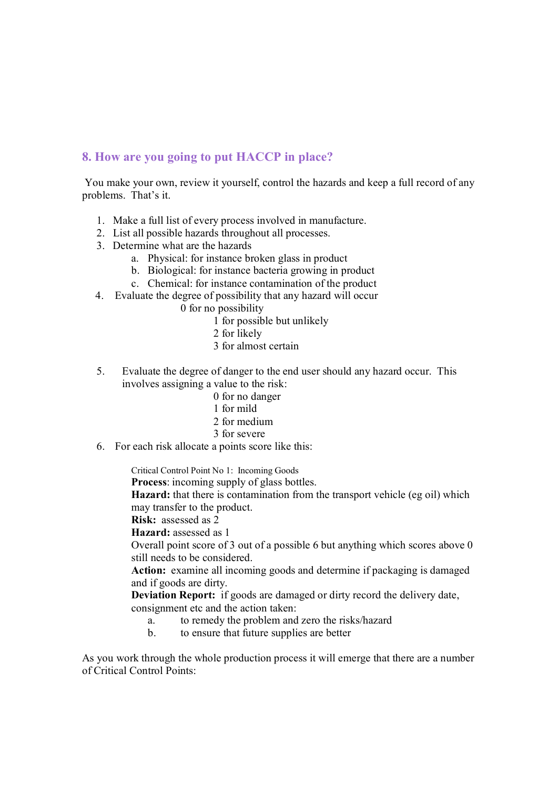## **8. How are you going to put HACCP in place?**

You make your own, review it yourself, control the hazards and keep a full record of any problems. That's it.

- 1. Make a full list of every process involved in manufacture.
- 2. List all possible hazards throughout all processes.
- 3. Determine what are the hazards
	- a. Physical: for instance broken glass in product
	- b. Biological: for instance bacteria growing in product
	- c. Chemical: for instance contamination of the product
- 4. Evaluate the degree of possibility that any hazard will occur
	- 0 for no possibility
		- 1 for possible but unlikely
		- 2 for likely
		- 3 for almost certain
- 5. Evaluate the degree of danger to the end user should any hazard occur. This involves assigning a value to the risk:
	- 0 for no danger
	- 1 for mild
	- 2 for medium
	- 3 for severe
- 6. For each risk allocate a points score like this:

Critical Control Point No 1: Incoming Goods

**Process**: incoming supply of glass bottles.

**Hazard:** that there is contamination from the transport vehicle (eg oil) which may transfer to the product.

**Risk:** assessed as 2

**Hazard:** assessed as 1

Overall point score of 3 out of a possible 6 but anything which scores above 0 still needs to be considered.

**Action:** examine all incoming goods and determine if packaging is damaged and if goods are dirty.

**Deviation Report:** if goods are damaged or dirty record the delivery date,<br>
consignment etc and the action taken:<br>
a. to remedy the problem and zero the risks/hazard<br> **b.** to gasure that fiture sumplies are better. consignment etc and the action taken:

- a. to remedy the problem and zero the risks/hazard<br>b. to ensure that future supplies are better
- 

As you work through the whole production process it will emerge that there are a number of Critical Control Points: